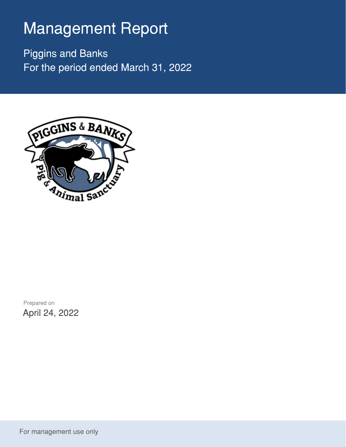## Management Report

Piggins and Banks For the period ended March 31, 2022



Prepared on April 24, 2022

For management use only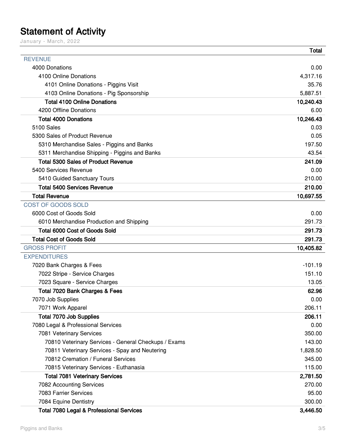## Statement of Activity

January - March, 2022

|                                                      | Total     |
|------------------------------------------------------|-----------|
| <b>REVENUE</b>                                       |           |
| 4000 Donations                                       | 0.00      |
| 4100 Online Donations                                | 4,317.16  |
| 4101 Online Donations - Piggins Visit                | 35.76     |
| 4103 Online Donations - Pig Sponsorship              | 5,887.51  |
| <b>Total 4100 Online Donations</b>                   | 10,240.43 |
| 4200 Offline Donations                               | 6.00      |
| <b>Total 4000 Donations</b>                          | 10,246.43 |
| 5100 Sales                                           | 0.03      |
| 5300 Sales of Product Revenue                        | 0.05      |
| 5310 Merchandise Sales - Piggins and Banks           | 197.50    |
| 5311 Merchandise Shipping - Piggins and Banks        | 43.54     |
| <b>Total 5300 Sales of Product Revenue</b>           | 241.09    |
| 5400 Services Revenue                                | 0.00      |
| 5410 Guided Sanctuary Tours                          | 210.00    |
| <b>Total 5400 Services Revenue</b>                   | 210.00    |
| <b>Total Revenue</b>                                 | 10,697.55 |
| COST OF GOODS SOLD                                   |           |
| 6000 Cost of Goods Sold                              | 0.00      |
| 6010 Merchandise Production and Shipping             | 291.73    |
| <b>Total 6000 Cost of Goods Sold</b>                 | 291.73    |
| <b>Total Cost of Goods Sold</b>                      | 291.73    |
| <b>GROSS PROFIT</b>                                  | 10,405.82 |
| <b>EXPENDITURES</b>                                  |           |
| 7020 Bank Charges & Fees                             | $-101.19$ |
| 7022 Stripe - Service Charges                        | 151.10    |
| 7023 Square - Service Charges                        | 13.05     |
| Total 7020 Bank Charges & Fees                       | 62.96     |
| 7070 Job Supplies                                    | 0.00      |
| 7071 Work Apparel                                    | 206.11    |
| <b>Total 7070 Job Supplies</b>                       | 206.11    |
| 7080 Legal & Professional Services                   | 0.00      |
| 7081 Veterinary Services                             | 350.00    |
| 70810 Veterinary Services - General Checkups / Exams | 143.00    |
| 70811 Veterinary Services - Spay and Neutering       | 1,828.50  |
| 70812 Cremation / Funeral Services                   | 345.00    |
| 70815 Veterinary Services - Euthanasia               | 115.00    |
| <b>Total 7081 Veterinary Services</b>                | 2,781.50  |
| 7082 Accounting Services                             | 270.00    |
| 7083 Farrier Services                                | 95.00     |
| 7084 Equine Dentistry                                | 300.00    |
| Total 7080 Legal & Professional Services             | 3,446.50  |